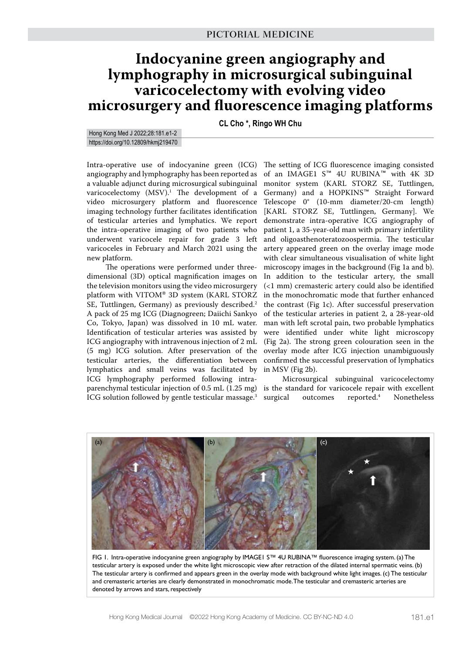# **Indocyanine green angiography and lymphography in microsurgical subinguinal varicocelectomy with evolving video microsurgery and fluorescence imaging platforms**

**CL Cho \*, Ringo WH Chu**

Hong Kong Med J 2022;28:181.e1-2 https://doi.org/10.12809/hkmj219470

Intra-operative use of indocyanine green (ICG) angiography and lymphography has been reported as a valuable adjunct during microsurgical subinguinal varicocelectomy (MSV).1 The development of a video microsurgery platform and fluorescence imaging technology further facilitates identification of testicular arteries and lymphatics. We report the intra-operative imaging of two patients who underwent varicocele repair for grade 3 left varicoceles in February and March 2021 using the new platform.

The operations were performed under threedimensional (3D) optical magnification images on the television monitors using the video microsurgery platform with VITOM® 3D system (KARL STORZ SE, Tuttlingen, Germany) as previously described.<sup>2</sup> A pack of 25 mg ICG (Diagnogreen; Daiichi Sankyo Co, Tokyo, Japan) was dissolved in 10 mL water. Identification of testicular arteries was assisted by ICG angiography with intravenous injection of 2 mL (5 mg) ICG solution. After preservation of the testicular arteries, the differentiation between lymphatics and small veins was facilitated by ICG lymphography performed following intraparenchymal testicular injection of 0.5 mL (1.25 mg) ICG solution followed by gentle testicular massage.<sup>3</sup>

The setting of ICG fluorescence imaging consisted of an IMAGE1 S™ 4U RUBINA™ with 4K 3D monitor system (KARL STORZ SE, Tuttlingen, Germany) and a HOPKINS™ Straight Forward Telescope 0° (10-mm diameter/20-cm length) [KARL STORZ SE, Tuttlingen, Germany]. We demonstrate intra-operative ICG angiography of patient 1, a 35-year-old man with primary infertility and oligoasthenoteratozoospermia. The testicular artery appeared green on the overlay image mode with clear simultaneous visualisation of white light microscopy images in the background (Fig 1a and b). In addition to the testicular artery, the small (<1 mm) cremasteric artery could also be identified in the monochromatic mode that further enhanced the contrast (Fig 1c). After successful preservation of the testicular arteries in patient 2, a 28-year-old man with left scrotal pain, two probable lymphatics were identified under white light microscopy (Fig 2a). The strong green colouration seen in the overlay mode after ICG injection unambiguously confirmed the successful preservation of lymphatics in MSV (Fig 2b).

Microsurgical subinguinal varicocelectomy is the standard for varicocele repair with excellent surgical outcomes reported.<sup>4</sup> Nonetheless



FIG 1. Intra-operative indocyanine green angiography by IMAGE1 S™ 4U RUBINA™ fluorescence imaging system. (a) The testicular artery is exposed under the white light microscopic view after retraction of the dilated internal spermatic veins. (b) The testicular artery is confirmed and appears green in the overlay mode with background white light images. (c) The testicular and cremasteric arteries are clearly demonstrated in monochromatic mode. The testicular and cremasteric arteries are denoted by arrows and stars, respectively